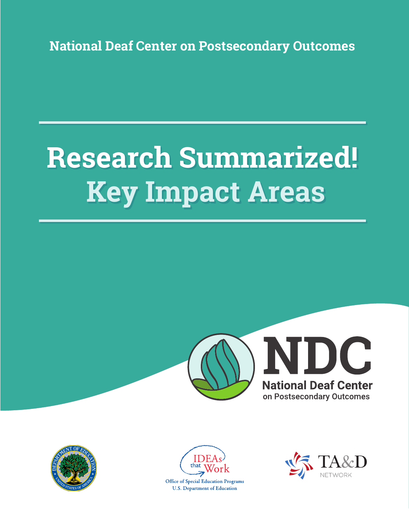**National Deaf Center on Postsecondary Outcomes**

# **Research Summarized! Key Impact Areas**







**Office of Special Education Programs U.S. Department of Education** 

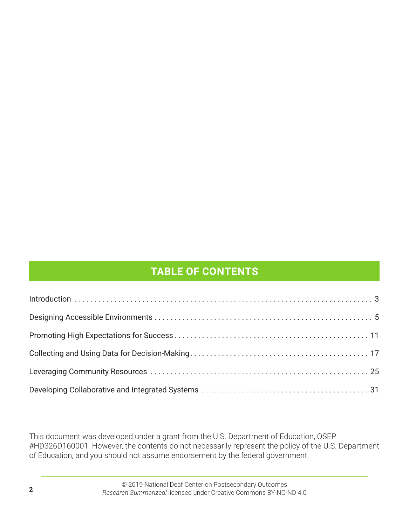# **TABLE OF CONTENTS**

This document was developed under a grant from the U.S. Department of Education, OSEP #HD326D160001. However, the contents do not necessarily represent the policy of the U.S. Department of Education, and you should not assume endorsement by the federal government.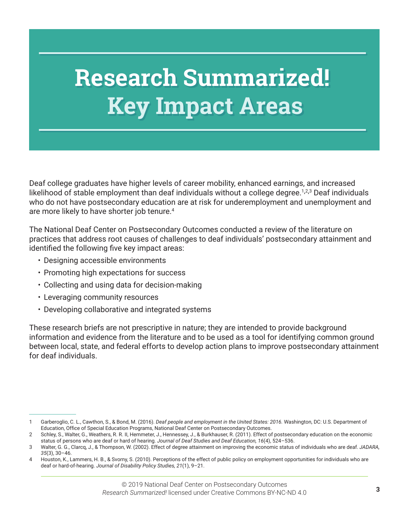# **Research Summarized! Key Impact Areas**

Deaf college graduates have higher levels of career mobility, enhanced earnings, and increased likelihood of stable employment than deaf individuals without a college degree.<sup>1,2,3</sup> Deaf individuals who do not have postsecondary education are at risk for underemployment and unemployment and are more likely to have shorter job tenure. 4

The National Deaf Center on Postsecondary Outcomes conducted a review of the literature on practices that address root causes of challenges to deaf individuals' postsecondary attainment and identified the following five key impact areas:

- Designing accessible environments
- Promoting high expectations for success
- Collecting and using data for decision-making
- Leveraging community resources
- Developing collaborative and integrated systems

These research briefs are not prescriptive in nature; they are intended to provide background information and evidence from the literature and to be used as a tool for identifying common ground between local, state, and federal efforts to develop action plans to improve postsecondary attainment for deaf individuals.

<sup>1</sup> Garberoglio, C. L., Cawthon, S., & Bond, M. (2016). *Deaf people and employment in the United States: 2016.* Washington, DC: U.S. Department of Education, Office of Special Education Programs, National Deaf Center on Postsecondary Outcomes.

<sup>2</sup> Schley, S., Walter, G., Weathers, R. R. II, Hemmeter, J., Hennessey, J., & Burkhauser, R. (2011). Effect of postsecondary education on the economic status of persons who are deaf or hard of hearing. *Journal of Deaf Studies and Deaf Education, 16*(4), 524–536.

<sup>3</sup> Walter, G. G., Clarcq, J., & Thompson, W. (2002). Effect of degree attainment on improving the economic status of individuals who are deaf. *JADARA, 35*(3), 30–46.

<sup>4</sup> Houston, K., Lammers, H. B., & Svorny, S. (2010). Perceptions of the effect of public policy on employment opportunities for individuals who are deaf or hard-of-hearing. *Journal of Disability Policy Studies, 21*(1), 9–21.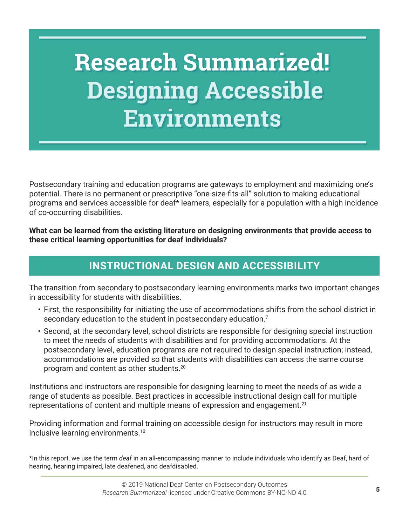# **Research Summarized! Designing Accessible Environments**

Postsecondary training and education programs are gateways to employment and maximizing one's potential. There is no permanent or prescriptive "one-size-fits-all" solution to making educational programs and services accessible for deaf\* learners, especially for a population with a high incidence of co-occurring disabilities.

**What can be learned from the existing literature on designing environments that provide access to these critical learning opportunities for deaf individuals?** 

# **INSTRUCTIONAL DESIGN AND ACCESSIBILITY**

The transition from secondary to postsecondary learning environments marks two important changes in accessibility for students with disabilities.

- First, the responsibility for initiating the use of accommodations shifts from the school district in secondary education to the student in postsecondary education. $^7$
- Second, at the secondary level, school districts are responsible for designing special instruction to meet the needs of students with disabilities and for providing accommodations. At the postsecondary level, education programs are not required to design special instruction; instead, accommodations are provided so that students with disabilities can access the same course program and content as other students. 20

Institutions and instructors are responsible for designing learning to meet the needs of as wide a range of students as possible. Best practices in accessible instructional design call for multiple representations of content and multiple means of expression and engagement. 21

Providing information and formal training on accessible design for instructors may result in more inclusive learning environments. 10

\*In this report, we use the term *deaf* in an all-encompassing manner to include individuals who identify as Deaf, hard of hearing, hearing impaired, late deafened, and deafdisabled.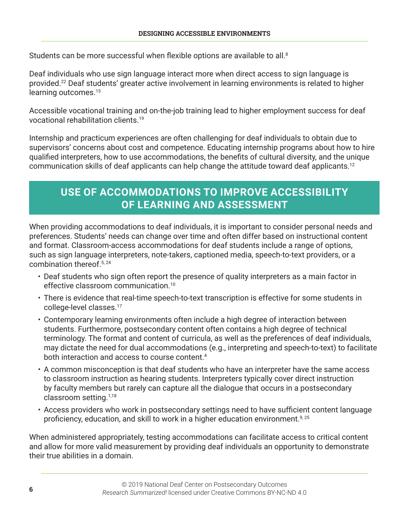Students can be more successful when flexible options are available to all.<sup>8</sup>

Deaf individuals who use sign language interact more when direct access to sign language is provided. 22 Deaf students' greater active involvement in learning environments is related to higher learning outcomes. 15

Accessible vocational training and on-the-job training lead to higher employment success for deaf vocational rehabilitation clients. 19

Internship and practicum experiences are often challenging for deaf individuals to obtain due to supervisors' concerns about cost and competence. Educating internship programs about how to hire qualified interpreters, how to use accommodations, the benefits of cultural diversity, and the unique communication skills of deaf applicants can help change the attitude toward deaf applicants.<sup>12</sup>

### **USE OF ACCOMMODATIONS TO IMPROVE ACCESSIBILITY OF LEARNING AND ASSESSMENT**

When providing accommodations to deaf individuals, it is important to consider personal needs and preferences. Students' needs can change over time and often differ based on instructional content and format. Classroom-access accommodations for deaf students include a range of options, such as sign language interpreters, note-takers, captioned media, speech-to-text providers, or a combination thereof. 5, 24

- Deaf students who sign often report the presence of quality interpreters as a main factor in effective classroom communication. 10
- There is evidence that real-time speech-to-text transcription is effective for some students in college-level classes. 17
- Contemporary learning environments often include a high degree of interaction between students. Furthermore, postsecondary content often contains a high degree of technical terminology. The format and content of curricula, as well as the preferences of deaf individuals, may dictate the need for dual accommodations (e.g., interpreting and speech-to-text) to facilitate both interaction and access to course content. 4
- A common misconception is that deaf students who have an interpreter have the same access to classroom instruction as hearing students. Interpreters typically cover direct instruction by faculty members but rarely can capture all the dialogue that occurs in a postsecondary classroom setting. 1,18
- Access providers who work in postsecondary settings need to have sufficient content language proficiency, education, and skill to work in a higher education environment.<sup>9, 25</sup>

When administered appropriately, testing accommodations can facilitate access to critical content and allow for more valid measurement by providing deaf individuals an opportunity to demonstrate their true abilities in a domain.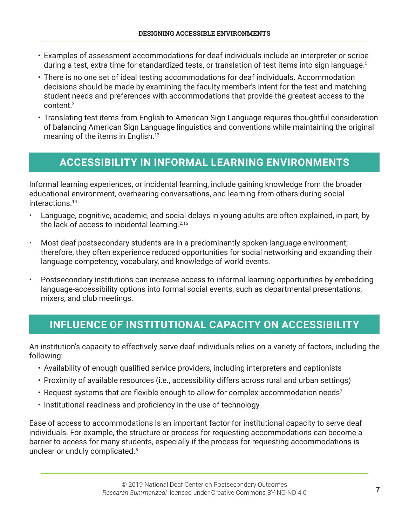- Examples of assessment accommodations for deaf individuals include an interpreter or scribe during a test, extra time for standardized tests, or translation of test items into sign language. 5
- There is no one set of ideal testing accommodations for deaf individuals. Accommodation decisions should be made by examining the faculty member's intent for the test and matching student needs and preferences with accommodations that provide the greatest access to the content. 3
- Translating test items from English to American Sign Language requires thoughtful consideration of balancing American Sign Language linguistics and conventions while maintaining the original meaning of the items in English. 13

#### **ACCESSIBILITY IN INFORMAL LEARNING ENVIRONMENTS**

Informal learning experiences, or incidental learning, include gaining knowledge from the broader educational environment, overhearing conversations, and learning from others during social interactions. 14

- Language, cognitive, academic, and social delays in young adults are often explained, in part, by the lack of access to incidental learning. 2,16
- Most deaf postsecondary students are in a predominantly spoken-language environment; therefore, they often experience reduced opportunities for social networking and expanding their language competency, vocabulary, and knowledge of world events.
- Postsecondary institutions can increase access to informal learning opportunities by embedding language-accessibility options into formal social events, such as departmental presentations, mixers, and club meetings.

#### **INFLUENCE OF INSTITUTIONAL CAPACITY ON ACCESSIBILITY**

An institution's capacity to effectively serve deaf individuals relies on a variety of factors, including the following:

- Availability of enough qualified service providers, including interpreters and captionists
- Proximity of available resources (i.e., accessibility differs across rural and urban settings)
- Request systems that are flexible enough to allow for complex accommodation needs<sup>7</sup>
- Institutional readiness and proficiency in the use of technology

Ease of access to accommodations is an important factor for institutional capacity to serve deaf individuals. For example, the structure or process for requesting accommodations can become a barrier to access for many students, especially if the process for requesting accommodations is unclear or unduly complicated. 5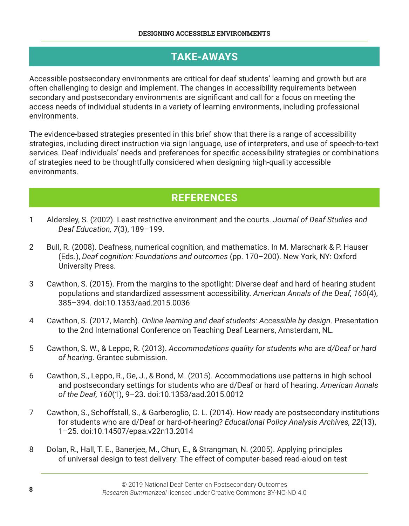#### **TAKE-AWAYS**

Accessible postsecondary environments are critical for deaf students' learning and growth but are often challenging to design and implement. The changes in accessibility requirements between secondary and postsecondary environments are significant and call for a focus on meeting the access needs of individual students in a variety of learning environments, including professional environments.

The evidence-based strategies presented in this brief show that there is a range of accessibility strategies, including direct instruction via sign language, use of interpreters, and use of speech-to-text services. Deaf individuals' needs and preferences for specific accessibility strategies or combinations of strategies need to be thoughtfully considered when designing high-quality accessible environments.

#### **REFERENCES**

- 1 Aldersley, S. (2002). Least restrictive environment and the courts. *Journal of Deaf Studies and Deaf Education, 7*(3), 189–199.
- 2 Bull, R. (2008). Deafness, numerical cognition, and mathematics. In M. Marschark & P. Hauser (Eds.), *Deaf cognition: Foundations and outcomes* (pp. 170–200). New York, NY: Oxford University Press.
- 3 Cawthon, S. (2015). From the margins to the spotlight: Diverse deaf and hard of hearing student populations and standardized assessment accessibility. *American Annals of the Deaf, 160*(4), 385–394. doi:10.1353/aad.2015.0036
- 4 Cawthon, S. (2017, March). *Online learning and deaf students: Accessible by design*. Presentation to the 2nd International Conference on Teaching Deaf Learners, Amsterdam, NL.
- 5 Cawthon, S. W., & Leppo, R. (2013). *Accommodations quality for students who are d/Deaf or hard of hearing*. Grantee submission.
- 6 Cawthon, S., Leppo, R., Ge, J., & Bond, M. (2015). Accommodations use patterns in high school and postsecondary settings for students who are d/Deaf or hard of hearing. *American Annals of the Deaf, 160*(1), 9–23. doi:10.1353/aad.2015.0012
- 7 Cawthon, S., Schoffstall, S., & Garberoglio, C. L. (2014). How ready are postsecondary institutions for students who are d/Deaf or hard-of-hearing? *Educational Policy Analysis Archives, 22*(13), 1–25. doi:10.14507/epaa.v22n13.2014
- 8 Dolan, R., Hall, T. E., Banerjee, M., Chun, E., & Strangman, N. (2005). Applying principles of universal design to test delivery: The effect of computer-based read-aloud on test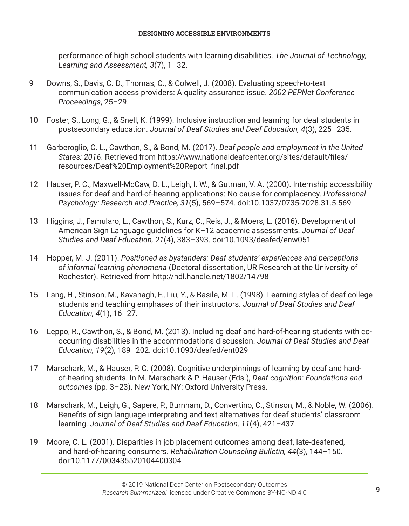performance of high school students with learning disabilities. *The Journal of Technology, Learning and Assessment, 3*(7), 1–32.

- 9 Downs, S., Davis, C. D., Thomas, C., & Colwell, J. (2008). Evaluating speech-to-text communication access providers: A quality assurance issue. *2002 PEPNet Conference Proceedings*, 25–29.
- 10 Foster, S., Long, G., & Snell, K. (1999). Inclusive instruction and learning for deaf students in postsecondary education. *Journal of Deaf Studies and Deaf Education, 4*(3), 225–235.
- 11 Garberoglio, C. L., Cawthon, S., & Bond, M. (2017). *Deaf people and employment in the United States: 2016*. Retrieved from https://www.nationaldeafcenter.org/sites/default/files/ resources/Deaf%20Employment%20Report\_final.pdf
- 12 Hauser, P. C., Maxwell-McCaw, D. L., Leigh, I. W., & Gutman, V. A. (2000). Internship accessibility issues for deaf and hard-of-hearing applications: No cause for complacency. *Professional Psychology: Research and Practice, 31*(5), 569–574. doi:10.1037/0735-7028.31.5.569
- 13 Higgins, J., Famularo, L., Cawthon, S., Kurz, C., Reis, J., & Moers, L. (2016). Development of American Sign Language guidelines for K–12 academic assessments. *Journal of Deaf Studies and Deaf Education, 21*(4), 383–393. doi:10.1093/deafed/enw051
- 14 Hopper, M. J. (2011). *Positioned as bystanders: Deaf students' experiences and perceptions of informal learning phenomena* (Doctoral dissertation, UR Research at the University of Rochester). Retrieved from http://hdl.handle.net/1802/14798
- 15 Lang, H., Stinson, M., Kavanagh, F., Liu, Y., & Basile, M. L. (1998). Learning styles of deaf college students and teaching emphases of their instructors. *Journal of Deaf Studies and Deaf Education, 4*(1), 16–27.
- 16 Leppo, R., Cawthon, S., & Bond, M. (2013). Including deaf and hard-of-hearing students with cooccurring disabilities in the accommodations discussion. *Journal of Deaf Studies and Deaf Education, 19*(2), 189–202. doi:10.1093/deafed/ent029
- 17 Marschark, M., & Hauser, P. C. (2008). Cognitive underpinnings of learning by deaf and hardof-hearing students. In M. Marschark & P. Hauser (Eds.), *Deaf cognition: Foundations and outcomes* (pp. 3–23). New York, NY: Oxford University Press.
- 18 Marschark, M., Leigh, G., Sapere, P., Burnham, D., Convertino, C., Stinson, M., & Noble, W. (2006). Benefits of sign language interpreting and text alternatives for deaf students' classroom learning. *Journal of Deaf Studies and Deaf Education, 11*(4), 421–437.
- 19 Moore, C. L. (2001). Disparities in job placement outcomes among deaf, late-deafened, and hard-of-hearing consumers. *Rehabilitation Counseling Bulletin, 44*(3), 144–150. doi:10.1177/003435520104400304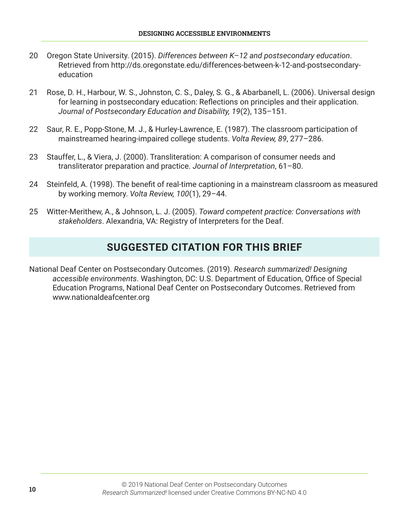- 20 Oregon State University. (2015). *Differences between K–12 and postsecondary education*. Retrieved from http://ds.oregonstate.edu/differences-between-k-12-and-postsecondaryeducation
- 21 Rose, D. H., Harbour, W. S., Johnston, C. S., Daley, S. G., & Abarbanell, L. (2006). Universal design for learning in postsecondary education: Reflections on principles and their application. *Journal of Postsecondary Education and Disability, 19*(2), 135–151.
- 22 Saur, R. E., Popp-Stone, M. J., & Hurley-Lawrence, E. (1987). The classroom participation of mainstreamed hearing-impaired college students. *Volta Review, 89*, 277–286.
- 23 Stauffer, L., & Viera, J. (2000). Transliteration: A comparison of consumer needs and transliterator preparation and practice. *Journal of Interpretation*, 61–80.
- 24 Steinfeld, A. (1998). The benefit of real-time captioning in a mainstream classroom as measured by working memory. *Volta Review, 100*(1), 29–44.
- 25 Witter-Merithew, A., & Johnson, L. J. (2005). *Toward competent practice: Conversations with stakeholders*. Alexandria, VA: Registry of Interpreters for the Deaf.

#### **SUGGESTED CITATION FOR THIS BRIEF**

National Deaf Center on Postsecondary Outcomes. (2019). *Research summarized! Designing accessible environments*. Washington, DC: U.S. Department of Education, Office of Special Education Programs, National Deaf Center on Postsecondary Outcomes. Retrieved from www.nationaldeafcenter.org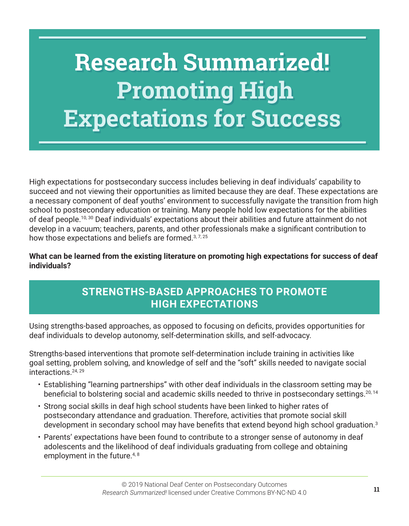# **Research Summarized! Promoting High Expectations for Success**

High expectations for postsecondary success includes believing in deaf individuals' capability to succeed and not viewing their opportunities as limited because they are deaf. These expectations are a necessary component of deaf youths' environment to successfully navigate the transition from high school to postsecondary education or training. Many people hold low expectations for the abilities of deaf people. 10, 30 Deaf individuals' expectations about their abilities and future attainment do not develop in a vacuum; teachers, parents, and other professionals make a significant contribution to how those expectations and beliefs are formed.<sup>3, 7, 25</sup>

**What can be learned from the existing literature on promoting high expectations for success of deaf individuals?**

#### **STRENGTHS-BASED APPROACHES TO PROMOTE HIGH EXPECTATIONS**

Using strengths-based approaches, as opposed to focusing on deficits, provides opportunities for deaf individuals to develop autonomy, self-determination skills, and self-advocacy.

Strengths-based interventions that promote self-determination include training in activities like goal setting, problem solving, and knowledge of self and the "soft" skills needed to navigate social interactions. 24, 29

- Establishing "learning partnerships" with other deaf individuals in the classroom setting may be beneficial to bolstering social and academic skills needed to thrive in postsecondary settings.<sup>20, 14</sup>
- Strong social skills in deaf high school students have been linked to higher rates of postsecondary attendance and graduation. Therefore, activities that promote social skill development in secondary school may have benefits that extend beyond high school graduation.<sup>3</sup>
- Parents' expectations have been found to contribute to a stronger sense of autonomy in deaf adolescents and the likelihood of deaf individuals graduating from college and obtaining employment in the future.<sup>4, 8</sup>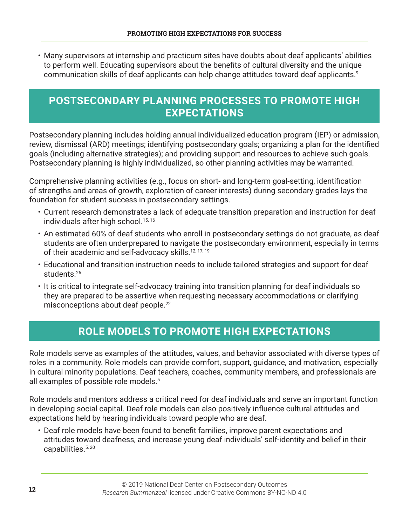• Many supervisors at internship and practicum sites have doubts about deaf applicants' abilities to perform well. Educating supervisors about the benefits of cultural diversity and the unique communication skills of deaf applicants can help change attitudes toward deaf applicants. 9

#### **POSTSECONDARY PLANNING PROCESSES TO PROMOTE HIGH EXPECTATIONS**

Postsecondary planning includes holding annual individualized education program (IEP) or admission, review, dismissal (ARD) meetings; identifying postsecondary goals; organizing a plan for the identified goals (including alternative strategies); and providing support and resources to achieve such goals. Postsecondary planning is highly individualized, so other planning activities may be warranted.

Comprehensive planning activities (e.g., focus on short- and long-term goal-setting, identification of strengths and areas of growth, exploration of career interests) during secondary grades lays the foundation for student success in postsecondary settings.

- Current research demonstrates a lack of adequate transition preparation and instruction for deaf individuals after high school. 15, 16
- An estimated 60% of deaf students who enroll in postsecondary settings do not graduate, as deaf students are often underprepared to navigate the postsecondary environment, especially in terms of their academic and self-advocacy skills.<sup>12, 17, 19</sup>
- Educational and transition instruction needs to include tailored strategies and support for deaf students. 26
- It is critical to integrate self-advocacy training into transition planning for deaf individuals so they are prepared to be assertive when requesting necessary accommodations or clarifying misconceptions about deaf people. 22

# **ROLE MODELS TO PROMOTE HIGH EXPECTATIONS**

Role models serve as examples of the attitudes, values, and behavior associated with diverse types of roles in a community. Role models can provide comfort, support, guidance, and motivation, especially in cultural minority populations. Deaf teachers, coaches, community members, and professionals are all examples of possible role models. 5

Role models and mentors address a critical need for deaf individuals and serve an important function in developing social capital. Deaf role models can also positively influence cultural attitudes and expectations held by hearing individuals toward people who are deaf.

• Deaf role models have been found to benefit families, improve parent expectations and attitudes toward deafness, and increase young deaf individuals' self-identity and belief in their capabilities. 5, 20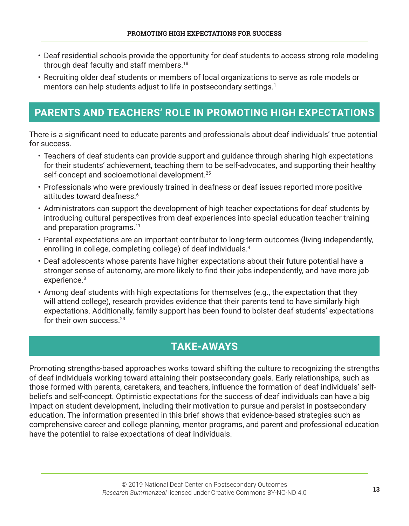- Deaf residential schools provide the opportunity for deaf students to access strong role modeling through deaf faculty and staff members. 18
- Recruiting older deaf students or members of local organizations to serve as role models or mentors can help students adjust to life in postsecondary settings. 1

#### **PARENTS AND TEACHERS' ROLE IN PROMOTING HIGH EXPECTATIONS**

There is a significant need to educate parents and professionals about deaf individuals' true potential for success.

- Teachers of deaf students can provide support and guidance through sharing high expectations for their students' achievement, teaching them to be self-advocates, and supporting their healthy self-concept and socioemotional development. 25
- Professionals who were previously trained in deafness or deaf issues reported more positive attitudes toward deafness. 6
- Administrators can support the development of high teacher expectations for deaf students by introducing cultural perspectives from deaf experiences into special education teacher training and preparation programs. 11
- Parental expectations are an important contributor to long-term outcomes (living independently, enrolling in college, completing college) of deaf individuals. 4
- Deaf adolescents whose parents have higher expectations about their future potential have a stronger sense of autonomy, are more likely to find their jobs independently, and have more job experience. 8
- Among deaf students with high expectations for themselves (e.g., the expectation that they will attend college), research provides evidence that their parents tend to have similarly high expectations. Additionally, family support has been found to bolster deaf students' expectations for their own success. 23

#### **TAKE-AWAYS**

Promoting strengths-based approaches works toward shifting the culture to recognizing the strengths of deaf individuals working toward attaining their postsecondary goals. Early relationships, such as those formed with parents, caretakers, and teachers, influence the formation of deaf individuals' selfbeliefs and self-concept. Optimistic expectations for the success of deaf individuals can have a big impact on student development, including their motivation to pursue and persist in postsecondary education. The information presented in this brief shows that evidence-based strategies such as comprehensive career and college planning, mentor programs, and parent and professional education have the potential to raise expectations of deaf individuals.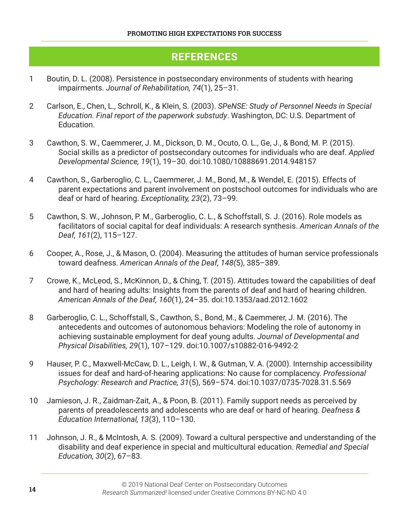#### **REFERENCES**

- 1 Boutin, D. L. (2008). Persistence in postsecondary environments of students with hearing impairments. *Journal of Rehabilitation, 74*(1), 25–31.
- 2 Carlson, E., Chen, L., Schroll, K., & Klein, S. (2003). *SPeNSE: Study of Personnel Needs in Special Education. Final report of the paperwork substudy*. Washington, DC: U.S. Department of Education.
- 3 Cawthon, S. W., Caemmerer, J. M., Dickson, D. M., Ocuto, O. L., Ge, J., & Bond, M. P. (2015). Social skills as a predictor of postsecondary outcomes for individuals who are deaf. *Applied Developmental Science, 19*(1), 19–30. doi:10.1080/10888691.2014.948157
- 4 Cawthon, S., Garberoglio, C. L., Caemmerer, J. M., Bond, M., & Wendel, E. (2015). Effects of parent expectations and parent involvement on postschool outcomes for individuals who are deaf or hard of hearing. *Exceptionality, 23*(2), 73–99.
- 5 Cawthon, S. W., Johnson, P. M., Garberoglio, C. L., & Schoffstall, S. J. (2016). Role models as facilitators of social capital for deaf individuals: A research synthesis. *American Annals of the Deaf, 161*(2), 115–127.
- 6 Cooper, A., Rose, J., & Mason, O. (2004). Measuring the attitudes of human service professionals toward deafness. *American Annals of the Deaf, 148(*5), 385–389.
- 7 Crowe, K., McLeod, S., McKinnon, D., & Ching, T. (2015). Attitudes toward the capabilities of deaf and hard of hearing adults: Insights from the parents of deaf and hard of hearing children. *American Annals of the Deaf, 160*(1), 24–35. doi:10.1353/aad.2012.1602
- 8 Garberoglio, C. L., Schoffstall, S., Cawthon, S., Bond, M., & Caemmerer, J. M. (2016). The antecedents and outcomes of autonomous behaviors: Modeling the role of autonomy in achieving sustainable employment for deaf young adults. *Journal of Developmental and Physical Disabilities, 29*(1), 107–129. doi:10.1007/s10882-016-9492-2
- 9 Hauser, P. C., Maxwell-McCaw, D. L., Leigh, I. W., & Gutman, V. A. (2000). Internship accessibility issues for deaf and hard-of-hearing applications: No cause for complacency. *Professional Psychology: Research and Practice, 31*(5), 569–574. doi:10.1037/0735-7028.31.5.569
- 10 Jamieson, J. R., Zaidman-Zait, A., & Poon, B. (2011). Family support needs as perceived by parents of preadolescents and adolescents who are deaf or hard of hearing. *Deafness & Education International, 13*(3), 110–130.
- 11 Johnson, J. R., & McIntosh, A. S. (2009). Toward a cultural perspective and understanding of the disability and deaf experience in special and multicultural education. *Remedial and Special Education, 30*(2), 67–83.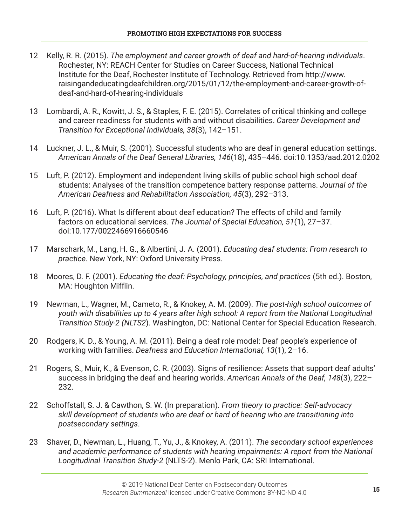- 12 Kelly, R. R. (2015). *The employment and career growth of deaf and hard-of-hearing individuals*. Rochester, NY: REACH Center for Studies on Career Success, National Technical Institute for the Deaf, Rochester Institute of Technology. Retrieved from http://www. raisingandeducatingdeafchildren.org/2015/01/12/the-employment-and-career-growth-ofdeaf-and-hard-of-hearing-individuals
- 13 Lombardi, A. R., Kowitt, J. S., & Staples, F. E. (2015). Correlates of critical thinking and college and career readiness for students with and without disabilities. *Career Development and Transition for Exceptional Individuals, 38*(3), 142–151.
- 14 Luckner, J. L., & Muir, S. (2001). Successful students who are deaf in general education settings. *American Annals of the Deaf General Libraries, 146*(18), 435–446. doi:10.1353/aad.2012.0202
- 15 Luft, P. (2012). Employment and independent living skills of public school high school deaf students: Analyses of the transition competence battery response patterns. *Journal of the American Deafness and Rehabilitation Association, 45*(3), 292–313.
- 16 Luft, P. (2016). What Is different about deaf education? The effects of child and family factors on educational services. *The Journal of Special Education, 51*(1), 27–37. doi:10.177/0022466916660546
- 17 Marschark, M., Lang, H. G., & Albertini, J. A. (2001). *Educating deaf students: From research to practice*. New York, NY: Oxford University Press.
- 18 Moores, D. F. (2001). *Educating the deaf: Psychology, principles, and practices* (5th ed.). Boston, MA: Houghton Mifflin.
- 19 Newman, L., Wagner, M., Cameto, R., & Knokey, A. M. (2009). *The post-high school outcomes of youth with disabilities up to 4 years after high school: A report from the National Longitudinal Transition Study-2 (NLTS2*). Washington, DC: National Center for Special Education Research.
- 20 Rodgers, K. D., & Young, A. M. (2011). Being a deaf role model: Deaf people's experience of working with families. *Deafness and Education International, 13*(1), 2–16.
- 21 Rogers, S., Muir, K., & Evenson, C. R. (2003). Signs of resilience: Assets that support deaf adults' success in bridging the deaf and hearing worlds. *American Annals of the Deaf, 148*(3), 222– 232.
- 22 Schoffstall, S. J. & Cawthon, S. W. (In preparation). *From theory to practice: Self-advocacy skill development of students who are deaf or hard of hearing who are transitioning into postsecondary settings*.
- 23 Shaver, D., Newman, L., Huang, T., Yu, J., & Knokey, A. (2011). *The secondary school experiences and academic performance of students with hearing impairments: A report from the National Longitudinal Transition Study-2* (NLTS-2). Menlo Park, CA: SRI International.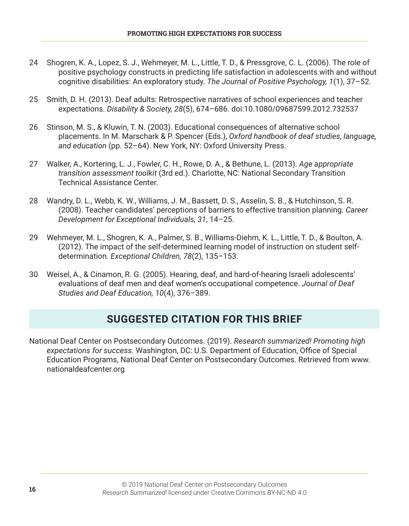- 24 Shogren, K. A., Lopez, S. J., Wehmeyer, M. L., Little, T. D., & Pressgrove, C. L. (2006). The role of positive psychology constructs in predicting life satisfaction in adolescents with and without cognitive disabilities: An exploratory study. *The Journal of Positive Psychology, 1*(1), 37–52.
- 25 Smith, D. H. (2013). Deaf adults: Retrospective narratives of school experiences and teacher expectations. *Disability & Society, 28*(5), 674–686. doi:10.1080/09687599.2012.732537
- 26 Stinson, M. S., & Kluwin, T. N. (2003). Educational consequences of alternative school placements. In M. Marschark & P. Spencer (Eds.), *Oxford handbook of deaf studies, language, and education* (pp. 52–64). New York, NY: Oxford University Press.
- 27 Walker, A., Kortering, L. J., Fowler, C. H., Rowe, D. A., & Bethune, L. (2013). *Age appropriate transition assessment toolkit* (3rd ed.). Charlotte, NC: National Secondary Transition Technical Assistance Center.
- 28 Wandry, D. L., Webb, K. W., Williams, J. M., Bassett, D. S., Asselin, S. B., & Hutchinson, S. R. (2008). Teacher candidates' perceptions of barriers to effective transition planning. *Career Development for Exceptional Individuals, 31*, 14–25.
- 29 Wehmeyer, M. L., Shogren, K. A., Palmer, S. B., Williams-Diehm, K. L., Little, T. D., & Boulton, A. (2012). The impact of the self-determined learning model of instruction on student selfdetermination. *Exceptional Children, 78*(2), 135–153.
- 30 Weisel, A., & Cinamon, R. G. (2005). Hearing, deaf, and hard-of-hearing Israeli adolescents' evaluations of deaf men and deaf women's occupational competence. *Journal of Deaf Studies and Deaf Education, 10*(4), 376–389.

#### **SUGGESTED CITATION FOR THIS BRIEF**

National Deaf Center on Postsecondary Outcomes. (2019). *Research summarized! Promoting high expectations for success.* Washington, DC: U.S. Department of Education, Office of Special Education Programs, National Deaf Center on Postsecondary Outcomes. Retrieved from www. nationaldeafcenter.org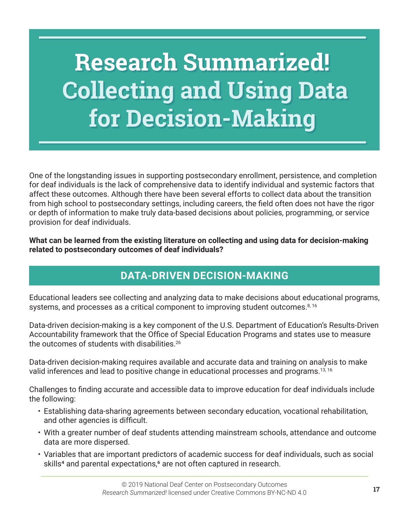# **Research Summarized! Collecting and Using Data for Decision-Making**

One of the longstanding issues in supporting postsecondary enrollment, persistence, and completion for deaf individuals is the lack of comprehensive data to identify individual and systemic factors that affect these outcomes. Although there have been several efforts to collect data about the transition from high school to postsecondary settings, including careers, the field often does not have the rigor or depth of information to make truly data-based decisions about policies, programming, or service provision for deaf individuals.

**What can be learned from the existing literature on collecting and using data for decision-making related to postsecondary outcomes of deaf individuals?**

# **DATA-DRIVEN DECISION-MAKING**

Educational leaders see collecting and analyzing data to make decisions about educational programs, systems, and processes as a critical component to improving student outcomes.<sup>8, 16</sup>

Data-driven decision-making is a key component of the U.S. Department of Education's Results-Driven Accountability framework that the Office of Special Education Programs and states use to measure the outcomes of students with disabilities. 26

Data-driven decision-making requires available and accurate data and training on analysis to make valid inferences and lead to positive change in educational processes and programs. 13, 16

Challenges to finding accurate and accessible data to improve education for deaf individuals include the following:

- Establishing data-sharing agreements between secondary education, vocational rehabilitation, and other agencies is difficult.
- With a greater number of deaf students attending mainstream schools, attendance and outcome data are more dispersed.
- Variables that are important predictors of academic success for deaf individuals, such as social skills<sup>4</sup> and parental expectations,<sup>6</sup> are not often captured in research.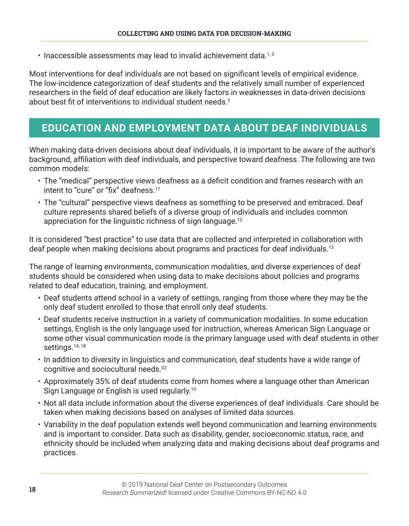$\cdot$  Inaccessible assessments may lead to invalid achievement data.<sup>1,3</sup>

Most interventions for deaf individuals are not based on significant levels of empirical evidence. The low-incidence categorization of deaf students and the relatively small number of experienced researchers in the field of deaf education are likely factors in weaknesses in data-driven decisions about best fit of interventions to individual student needs.<sup>5</sup>

#### **EDUCATION AND EMPLOYMENT DATA ABOUT DEAF INDIVIDUALS**

When making data-driven decisions about deaf individuals, it is important to be aware of the author's background, affiliation with deaf individuals, and perspective toward deafness. The following are two common models:

- The "medical" perspective views deafness as a deficit condition and frames research with an intent to "cure" or "fix" deafness.<sup>17</sup>
- The "cultural" perspective views deafness as something to be preserved and embraced. Deaf culture represents shared beliefs of a diverse group of individuals and includes common appreciation for the linguistic richness of sign language.<sup>12</sup>

It is considered "best practice" to use data that are collected and interpreted in collaboration with deaf people when making decisions about programs and practices for deaf individuals. 12

The range of learning environments, communication modalities, and diverse experiences of deaf students should be considered when using data to make decisions about policies and programs related to deaf education, training, and employment.

- Deaf students attend school in a variety of settings, ranging from those where they may be the only deaf student enrolled to those that enroll only deaf students.
- Deaf students receive instruction in a variety of communication modalities. In some education settings, English is the only language used for instruction, whereas American Sign Language or some other visual communication mode is the primary language used with deaf students in other settings.<sup>14, 18</sup>
- In addition to diversity in linguistics and communication, deaf students have a wide range of cognitive and sociocultural needs. 22
- Approximately 35% of deaf students come from homes where a language other than American Sign Language or English is used regularly. 10
- Not all data include information about the diverse experiences of deaf individuals. Care should be taken when making decisions based on analyses of limited data sources.
- Variability in the deaf population extends well beyond communication and learning environments and is important to consider. Data such as disability, gender, socioeconomic status, race, and ethnicity should be included when analyzing data and making decisions about deaf programs and practices.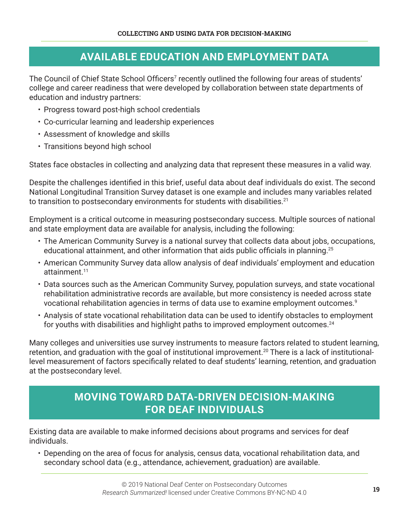#### **AVAILABLE EDUCATION AND EMPLOYMENT DATA**

The Council of Chief State School Officers<sup>7</sup> recently outlined the following four areas of students' college and career readiness that were developed by collaboration between state departments of education and industry partners:

- Progress toward post-high school credentials
- Co-curricular learning and leadership experiences
- Assessment of knowledge and skills
- Transitions beyond high school

States face obstacles in collecting and analyzing data that represent these measures in a valid way.

Despite the challenges identified in this brief, useful data about deaf individuals do exist. The second National Longitudinal Transition Survey dataset is one example and includes many variables related to transition to postsecondary environments for students with disabilities. $^{21}$ 

Employment is a critical outcome in measuring postsecondary success. Multiple sources of national and state employment data are available for analysis, including the following:

- The American Community Survey is a national survey that collects data about jobs, occupations, educational attainment, and other information that aids public officials in planning.<sup>25</sup>
- American Community Survey data allow analysis of deaf individuals' employment and education attainment. 11
- Data sources such as the American Community Survey, population surveys, and state vocational rehabilitation administrative records are available, but more consistency is needed across state vocational rehabilitation agencies in terms of data use to examine employment outcomes. 9
- Analysis of state vocational rehabilitation data can be used to identify obstacles to employment for youths with disabilities and highlight paths to improved employment outcomes. 24

Many colleges and universities use survey instruments to measure factors related to student learning, retention, and graduation with the goal of institutional improvement. 20 There is a lack of institutionallevel measurement of factors specifically related to deaf students' learning, retention, and graduation at the postsecondary level.

#### **MOVING TOWARD DATA-DRIVEN DECISION-MAKING FOR DEAF INDIVIDUALS**

Existing data are available to make informed decisions about programs and services for deaf individuals.

• Depending on the area of focus for analysis, census data, vocational rehabilitation data, and secondary school data (e.g., attendance, achievement, graduation) are available.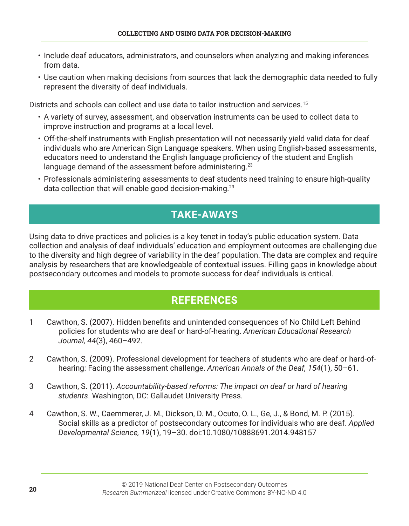- Include deaf educators, administrators, and counselors when analyzing and making inferences from data.
- Use caution when making decisions from sources that lack the demographic data needed to fully represent the diversity of deaf individuals.

Districts and schools can collect and use data to tailor instruction and services. 15

- A variety of survey, assessment, and observation instruments can be used to collect data to improve instruction and programs at a local level.
- Off-the-shelf instruments with English presentation will not necessarily yield valid data for deaf individuals who are American Sign Language speakers. When using English-based assessments, educators need to understand the English language proficiency of the student and English language demand of the assessment before administering.<sup>23</sup>
- Professionals administering assessments to deaf students need training to ensure high-quality data collection that will enable good decision-making. 23

# **TAKE-AWAYS**

Using data to drive practices and policies is a key tenet in today's public education system. Data collection and analysis of deaf individuals' education and employment outcomes are challenging due to the diversity and high degree of variability in the deaf population. The data are complex and require analysis by researchers that are knowledgeable of contextual issues. Filling gaps in knowledge about postsecondary outcomes and models to promote success for deaf individuals is critical.

#### **REFERENCES**

- 1 Cawthon, S. (2007). Hidden benefits and unintended consequences of No Child Left Behind policies for students who are deaf or hard-of-hearing. *American Educational Research Journal, 44*(3), 460–492.
- 2 Cawthon, S. (2009). Professional development for teachers of students who are deaf or hard-ofhearing: Facing the assessment challenge. *American Annals of the Deaf, 154*(1), 50–61.
- 3 Cawthon, S. (2011). *Accountability-based reforms: The impact on deaf or hard of hearing students*. Washington, DC: Gallaudet University Press.
- 4 Cawthon, S. W., Caemmerer, J. M., Dickson, D. M., Ocuto, O. L., Ge, J., & Bond, M. P. (2015). Social skills as a predictor of postsecondary outcomes for individuals who are deaf. *Applied Developmental Science, 19*(1), 19–30. doi:10.1080/10888691.2014.948157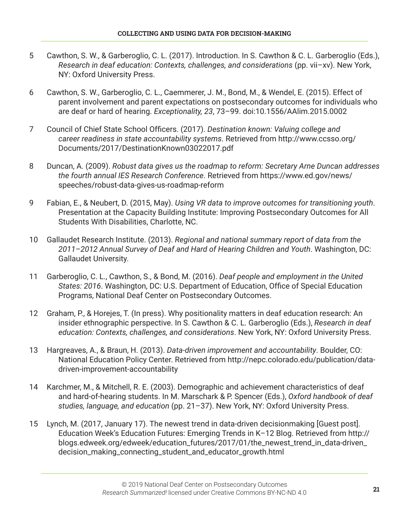- 5 Cawthon, S. W., & Garberoglio, C. L. (2017). Introduction. In S. Cawthon & C. L. Garberoglio (Eds.), *Research in deaf education: Contexts, challenges, and considerations (pp. vii-xv). New York,* NY: Oxford University Press.
- 6 Cawthon, S. W., Garberoglio, C. L., Caemmerer, J. M., Bond, M., & Wendel, E. (2015). Effect of parent involvement and parent expectations on postsecondary outcomes for individuals who are deaf or hard of hearing. *Exceptionality, 23*, 73–99. doi:10.1556/AAlim.2015.0002
- 7 Council of Chief State School Officers. (2017). *Destination known: Valuing college and career readiness in state accountability systems*. Retrieved from http://www.ccsso.org/ Documents/2017/DestinationKnown03022017.pdf
- 8 Duncan, A. (2009). *Robust data gives us the roadmap to reform: Secretary Arne Duncan addresses the fourth annual IES Research Conference*. Retrieved from https://www.ed.gov/news/ speeches/robust-data-gives-us-roadmap-reform
- 9 Fabian, E., & Neubert, D. (2015, May). *Using VR data to improve outcomes for transitioning youth*. Presentation at the Capacity Building Institute: Improving Postsecondary Outcomes for All Students With Disabilities, Charlotte, NC.
- 10 Gallaudet Research Institute. (2013). *Regional and national summary report of data from the 2011–2012 Annual Survey of Deaf and Hard of Hearing Children and Youth*. Washington, DC: Gallaudet University.
- 11 Garberoglio, C. L., Cawthon, S., & Bond, M. (2016). *Deaf people and employment in the United States: 2016*. Washington, DC: U.S. Department of Education, Office of Special Education Programs, National Deaf Center on Postsecondary Outcomes.
- 12 Graham, P., & Horejes, T. (In press). Why positionality matters in deaf education research: An insider ethnographic perspective. In S. Cawthon & C. L. Garberoglio (Eds.), *Research in deaf education: Contexts, challenges, and considerations*. New York, NY: Oxford University Press.
- 13 Hargreaves, A., & Braun, H. (2013). *Data-driven improvement and accountability*. Boulder, CO: National Education Policy Center. Retrieved from http://nepc.colorado.edu/publication/datadriven-improvement-accountability
- 14 Karchmer, M., & Mitchell, R. E. (2003). Demographic and achievement characteristics of deaf and hard-of-hearing students. In M. Marschark & P. Spencer (Eds.), *Oxford handbook of deaf studies, language, and education* (pp. 21–37). New York, NY: Oxford University Press.
- 15 Lynch, M. (2017, January 17). The newest trend in data-driven decisionmaking [Guest post]. Education Week's Education Futures: Emerging Trends in K–12 Blog. Retrieved from http:// blogs.edweek.org/edweek/education\_futures/2017/01/the\_newest\_trend\_in\_data-driven\_ decision\_making\_connecting\_student\_and\_educator\_growth.html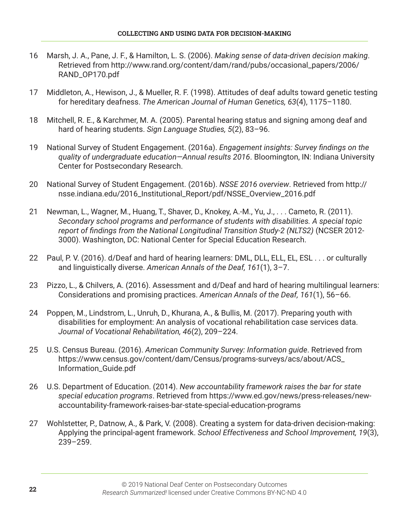- 16 Marsh, J. A., Pane, J. F., & Hamilton, L. S. (2006). *Making sense of data-driven decision making*. Retrieved from http://www.rand.org/content/dam/rand/pubs/occasional\_papers/2006/ RAND\_OP170.pdf
- 17 Middleton, A., Hewison, J., & Mueller, R. F. (1998). Attitudes of deaf adults toward genetic testing for hereditary deafness. *The American Journal of Human Genetics, 63*(4), 1175–1180.
- 18 Mitchell, R. E., & Karchmer, M. A. (2005). Parental hearing status and signing among deaf and hard of hearing students. *Sign Language Studies, 5*(2), 83–96.
- 19 National Survey of Student Engagement. (2016a). *Engagement insights: Survey findings on the quality of undergraduate education—Annual results 2016*. Bloomington, IN: Indiana University Center for Postsecondary Research.
- 20 National Survey of Student Engagement. (2016b). *NSSE 2016 overview*. Retrieved from http:// nsse.indiana.edu/2016\_Institutional\_Report/pdf/NSSE\_Overview\_2016.pdf
- 21 Newman, L., Wagner, M., Huang, T., Shaver, D., Knokey, A.-M., Yu, J., ... Cameto, R. (2011). *Secondary school programs and performance of students with disabilities. A special topic report of findings from the National Longitudinal Transition Study-2 (NLTS2)* (NCSER 2012- 3000). Washington, DC: National Center for Special Education Research.
- 22 Paul, P. V. (2016). d/Deaf and hard of hearing learners: DML, DLL, ELL, EL, ESL . . . or culturally and linguistically diverse. *American Annals of the Deaf, 161*(1), 3–7.
- 23 Pizzo, L., & Chilvers, A. (2016). Assessment and d/Deaf and hard of hearing multilingual learners: Considerations and promising practices. *American Annals of the Deaf, 161*(1), 56–66.
- 24 Poppen, M., Lindstrom, L., Unruh, D., Khurana, A., & Bullis, M. (2017). Preparing youth with disabilities for employment: An analysis of vocational rehabilitation case services data. *Journal of Vocational Rehabilitation, 46*(2), 209–224.
- 25 U.S. Census Bureau. (2016). *American Community Survey: Information guide*. Retrieved from https://www.census.gov/content/dam/Census/programs-surveys/acs/about/ACS\_ Information\_Guide.pdf
- 26 U.S. Department of Education. (2014). *New accountability framework raises the bar for state special education programs*. Retrieved from https://www.ed.gov/news/press-releases/newaccountability-framework-raises-bar-state-special-education-programs
- 27 Wohlstetter, P., Datnow, A., & Park, V. (2008). Creating a system for data-driven decision-making: Applying the principal-agent framework. *School Effectiveness and School Improvement, 19*(3), 239–259.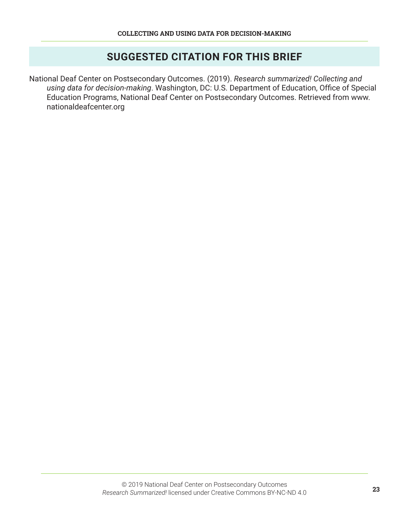#### **SUGGESTED CITATION FOR THIS BRIEF**

National Deaf Center on Postsecondary Outcomes. (2019). *Research summarized! Collecting and using data for decision-making*. Washington, DC: U.S. Department of Education, Office of Special Education Programs, National Deaf Center on Postsecondary Outcomes. Retrieved from www. nationaldeafcenter.org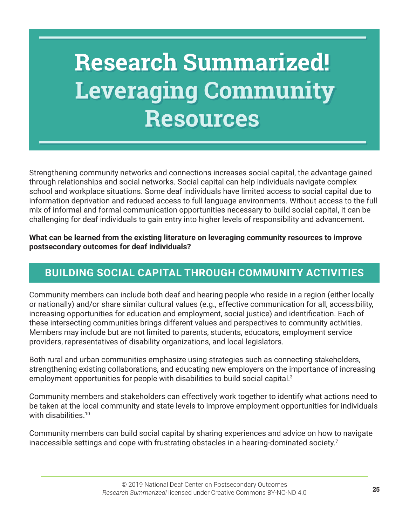# **Research Summarized! Leveraging Community Resources**

Strengthening community networks and connections increases social capital, the advantage gained through relationships and social networks. Social capital can help individuals navigate complex school and workplace situations. Some deaf individuals have limited access to social capital due to information deprivation and reduced access to full language environments. Without access to the full mix of informal and formal communication opportunities necessary to build social capital, it can be challenging for deaf individuals to gain entry into higher levels of responsibility and advancement.

#### **What can be learned from the existing literature on leveraging community resources to improve postsecondary outcomes for deaf individuals?**

# **BUILDING SOCIAL CAPITAL THROUGH COMMUNITY ACTIVITIES**

Community members can include both deaf and hearing people who reside in a region (either locally or nationally) and/or share similar cultural values (e.g., effective communication for all, accessibility, increasing opportunities for education and employment, social justice) and identification. Each of these intersecting communities brings different values and perspectives to community activities. Members may include but are not limited to parents, students, educators, employment service providers, representatives of disability organizations, and local legislators.

Both rural and urban communities emphasize using strategies such as connecting stakeholders, strengthening existing collaborations, and educating new employers on the importance of increasing employment opportunities for people with disabilities to build social capital. 3

Community members and stakeholders can effectively work together to identify what actions need to be taken at the local community and state levels to improve employment opportunities for individuals with disabilities. 10

Community members can build social capital by sharing experiences and advice on how to navigate inaccessible settings and cope with frustrating obstacles in a hearing-dominated society. $^7$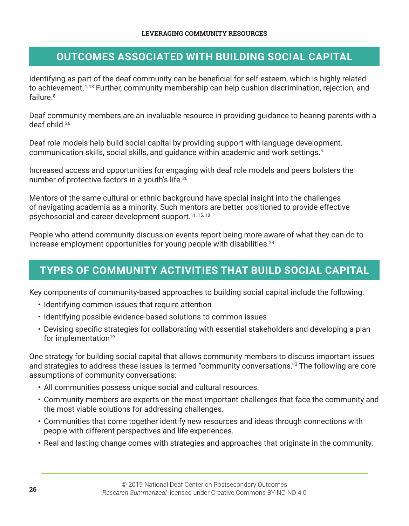#### **OUTCOMES ASSOCIATED WITH BUILDING SOCIAL CAPITAL**

Identifying as part of the deaf community can be beneficial for self-esteem, which is highly related to achievement. 4, 13 Further, community membership can help cushion discrimination, rejection, and failure. 8

Deaf community members are an invaluable resource in providing guidance to hearing parents with a deaf child. 26

Deaf role models help build social capital by providing support with language development, communication skills, social skills, and guidance within academic and work settings. 5

Increased access and opportunities for engaging with deaf role models and peers bolsters the number of protective factors in a youth's life. 20

Mentors of the same cultural or ethnic background have special insight into the challenges of navigating academia as a minority. Such mentors are better positioned to provide effective psychosocial and career development support. 11, 15, 18

People who attend community discussion events report being more aware of what they can do to increase employment opportunities for young people with disabilities. 24

#### **TYPES OF COMMUNITY ACTIVITIES THAT BUILD SOCIAL CAPITAL**

Key components of community-based approaches to building social capital include the following:

- Identifying common issues that require attention
- Identifying possible evidence-based solutions to common issues
- Devising specific strategies for collaborating with essential stakeholders and developing a plan for implementation $19$

One strategy for building social capital that allows community members to discuss important issues and strategies to address these issues is termed "community conversations."<sup>3</sup> The following are core assumptions of community conversations:

- All communities possess unique social and cultural resources.
- Community members are experts on the most important challenges that face the community and the most viable solutions for addressing challenges.
- Communities that come together identify new resources and ideas through connections with people with different perspectives and life experiences.
- Real and lasting change comes with strategies and approaches that originate in the community.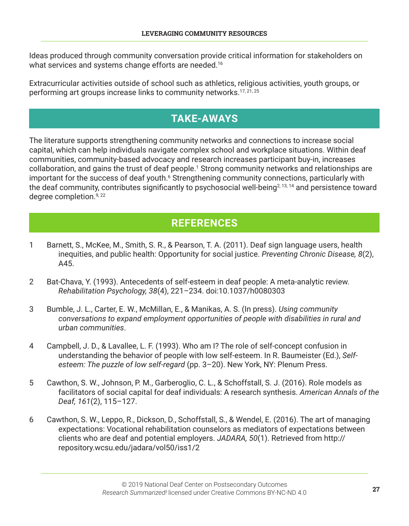Ideas produced through community conversation provide critical information for stakeholders on what services and systems change efforts are needed. 16

Extracurricular activities outside of school such as athletics, religious activities, youth groups, or performing art groups increase links to community networks. 17, 21, 25

# **TAKE-AWAYS**

The literature supports strengthening community networks and connections to increase social capital, which can help individuals navigate complex school and workplace situations. Within deaf communities, community-based advocacy and research increases participant buy-in, increases collaboration, and gains the trust of deaf people. 1 Strong community networks and relationships are important for the success of deaf youth.<sup>6</sup> Strengthening community connections, particularly with the deaf community, contributes significantly to psychosocial well-being<sup>2, 13, 14</sup> and persistence toward degree completion. 9, 22

# **REFERENCES**

- 1 Barnett, S., McKee, M., Smith, S. R., & Pearson, T. A. (2011). Deaf sign language users, health inequities, and public health: Opportunity for social justice. *Preventing Chronic Disease, 8*(2), A45.
- 2 Bat-Chava, Y. (1993). Antecedents of self-esteem in deaf people: A meta-analytic review. *Rehabilitation Psychology, 38*(4), 221–234. doi:10.1037/h0080303
- 3 Bumble, J. L., Carter, E. W., McMillan, E., & Manikas, A. S. (In press). *Using community conversations to expand employment opportunities of people with disabilities in rural and urban communities*.
- 4 Campbell, J. D., & Lavallee, L. F. (1993). Who am I? The role of self-concept confusion in understanding the behavior of people with low self-esteem. In R. Baumeister (Ed.), *Selfesteem: The puzzle of low self-regard* (pp. 3–20). New York, NY: Plenum Press.
- 5 Cawthon, S. W., Johnson, P. M., Garberoglio, C. L., & Schoffstall, S. J. (2016). Role models as facilitators of social capital for deaf individuals: A research synthesis. *American Annals of the Deaf, 161*(2), 115–127.
- 6 Cawthon, S. W., Leppo, R., Dickson, D., Schoffstall, S., & Wendel, E. (2016). The art of managing expectations: Vocational rehabilitation counselors as mediators of expectations between clients who are deaf and potential employers. *JADARA, 50*(1). Retrieved from http:// repository.wcsu.edu/jadara/vol50/iss1/2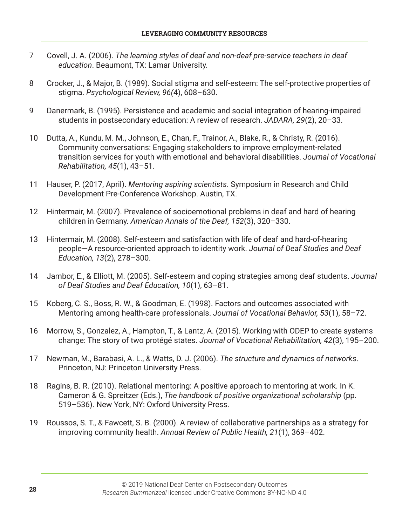- 7 Covell, J. A. (2006). *The learning styles of deaf and non-deaf pre-service teachers in deaf education*. Beaumont, TX: Lamar University.
- 8 Crocker, J., & Major, B. (1989). Social stigma and self-esteem: The self-protective properties of stigma. *Psychological Review, 96(*4), 608–630.
- 9 Danermark, B. (1995). Persistence and academic and social integration of hearing-impaired students in postsecondary education: A review of research. *JADARA, 29*(2), 20–33.
- 10 Dutta, A., Kundu, M. M., Johnson, E., Chan, F., Trainor, A., Blake, R., & Christy, R. (2016). Community conversations: Engaging stakeholders to improve employment-related transition services for youth with emotional and behavioral disabilities. *Journal of Vocational Rehabilitation, 45*(1), 43–51.
- 11 Hauser, P. (2017, April). *Mentoring aspiring scientists*. Symposium in Research and Child Development Pre-Conference Workshop. Austin, TX.
- 12 Hintermair, M. (2007). Prevalence of socioemotional problems in deaf and hard of hearing children in Germany. *American Annals of the Deaf, 152*(3), 320–330.
- 13 Hintermair, M. (2008). Self-esteem and satisfaction with life of deaf and hard-of-hearing people—A resource-oriented approach to identity work. *Journal of Deaf Studies and Deaf Education, 13*(2), 278–300.
- 14 Jambor, E., & Elliott, M. (2005). Self-esteem and coping strategies among deaf students. *Journal of Deaf Studies and Deaf Education, 10*(1), 63–81.
- 15 Koberg, C. S., Boss, R. W., & Goodman, E. (1998). Factors and outcomes associated with Mentoring among health-care professionals. *Journal of Vocational Behavior, 53*(1), 58–72.
- 16 Morrow, S., Gonzalez, A., Hampton, T., & Lantz, A. (2015). Working with ODEP to create systems change: The story of two protégé states. *Journal of Vocational Rehabilitation, 42*(3), 195–200.
- 17 Newman, M., Barabasi, A. L., & Watts, D. J. (2006). *The structure and dynamics of networks*. Princeton, NJ: Princeton University Press.
- 18 Ragins, B. R. (2010). Relational mentoring: A positive approach to mentoring at work. In K. Cameron & G. Spreitzer (Eds.), *The handbook of positive organizational scholarship* (pp. 519–536). New York, NY: Oxford University Press.
- 19 Roussos, S. T., & Fawcett, S. B. (2000). A review of collaborative partnerships as a strategy for improving community health. *Annual Review of Public Health, 21*(1), 369–402.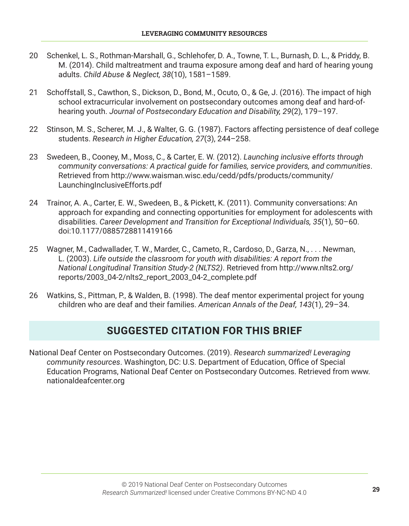- 20 Schenkel, L. S., Rothman-Marshall, G., Schlehofer, D. A., Towne, T. L., Burnash, D. L., & Priddy, B. M. (2014). Child maltreatment and trauma exposure among deaf and hard of hearing young adults. *Child Abuse & Neglect, 38*(10), 1581–1589.
- 21 Schoffstall, S., Cawthon, S., Dickson, D., Bond, M., Ocuto, O., & Ge, J. (2016). The impact of high school extracurricular involvement on postsecondary outcomes among deaf and hard-ofhearing youth. *Journal of Postsecondary Education and Disability, 29*(2), 179–197.
- 22 Stinson, M. S., Scherer, M. J., & Walter, G. G. (1987). Factors affecting persistence of deaf college students. *Research in Higher Education, 27*(3), 244–258.
- 23 Swedeen, B., Cooney, M., Moss, C., & Carter, E. W. (2012). *Launching inclusive efforts through community conversations: A practical guide for families, service providers, and communities*. Retrieved from http://www.waisman.wisc.edu/cedd/pdfs/products/community/ LaunchingInclusiveEfforts.pdf
- 24 Trainor, A. A., Carter, E. W., Swedeen, B., & Pickett, K. (2011). Community conversations: An approach for expanding and connecting opportunities for employment for adolescents with disabilities. *Career Development and Transition for Exceptional Individuals, 35*(1), 50–60. doi:10.1177/0885728811419166
- 25 Wagner, M., Cadwallader, T. W., Marder, C., Cameto, R., Cardoso, D., Garza, N., ... Newman, L. (2003). *Life outside the classroom for youth with disabilities: A report from the National Longitudinal Transition Study-2 (NLTS2)*. Retrieved from http://www.nlts2.org/ reports/2003\_04-2/nlts2\_report\_2003\_04-2\_complete.pdf
- 26 Watkins, S., Pittman, P., & Walden, B. (1998). The deaf mentor experimental project for young children who are deaf and their families. *American Annals of the Deaf, 143*(1), 29–34.

#### **SUGGESTED CITATION FOR THIS BRIEF**

National Deaf Center on Postsecondary Outcomes. (2019). *Research summarized! Leveraging community resources*. Washington, DC: U.S. Department of Education, Office of Special Education Programs, National Deaf Center on Postsecondary Outcomes. Retrieved from www. nationaldeafcenter.org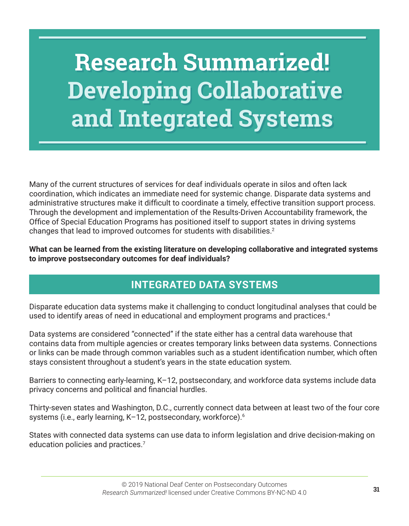# **Research Summarized! Developing Collaborative and Integrated Systems**

Many of the current structures of services for deaf individuals operate in silos and often lack coordination, which indicates an immediate need for systemic change. Disparate data systems and administrative structures make it difficult to coordinate a timely, effective transition support process. Through the development and implementation of the Results-Driven Accountability framework, the Office of Special Education Programs has positioned itself to support states in driving systems changes that lead to improved outcomes for students with disabilities. $^2$ 

**What can be learned from the existing literature on developing collaborative and integrated systems to improve postsecondary outcomes for deaf individuals?**

# **INTEGRATED DATA SYSTEMS**

Disparate education data systems make it challenging to conduct longitudinal analyses that could be used to identify areas of need in educational and employment programs and practices. 4

Data systems are considered "connected" if the state either has a central data warehouse that contains data from multiple agencies or creates temporary links between data systems. Connections or links can be made through common variables such as a student identification number, which often stays consistent throughout a student's years in the state education system.

Barriers to connecting early-learning, K–12, postsecondary, and workforce data systems include data privacy concerns and political and financial hurdles.

Thirty-seven states and Washington, D.C., currently connect data between at least two of the four core systems (i.e., early learning, K–12, postsecondary, workforce). 6

States with connected data systems can use data to inform legislation and drive decision-making on education policies and practices. 7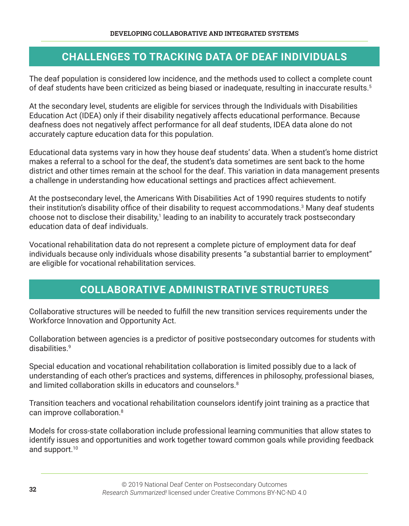#### **CHALLENGES TO TRACKING DATA OF DEAF INDIVIDUALS**

The deaf population is considered low incidence, and the methods used to collect a complete count of deaf students have been criticized as being biased or inadequate, resulting in inaccurate results. 5

At the secondary level, students are eligible for services through the Individuals with Disabilities Education Act (IDEA) only if their disability negatively affects educational performance. Because deafness does not negatively affect performance for all deaf students, IDEA data alone do not accurately capture education data for this population.

Educational data systems vary in how they house deaf students' data. When a student's home district makes a referral to a school for the deaf, the student's data sometimes are sent back to the home district and other times remain at the school for the deaf. This variation in data management presents a challenge in understanding how educational settings and practices affect achievement.

At the postsecondary level, the Americans With Disabilities Act of 1990 requires students to notify their institution's disability office of their disability to request accommodations. $^3$  Many deaf students choose not to disclose their disability,<sup>1</sup> leading to an inability to accurately track postsecondary education data of deaf individuals.

Vocational rehabilitation data do not represent a complete picture of employment data for deaf individuals because only individuals whose disability presents "a substantial barrier to employment" are eligible for vocational rehabilitation services.

#### **COLLABORATIVE ADMINISTRATIVE STRUCTURES**

Collaborative structures will be needed to fulfill the new transition services requirements under the Workforce Innovation and Opportunity Act.

Collaboration between agencies is a predictor of positive postsecondary outcomes for students with disabilities. 9

Special education and vocational rehabilitation collaboration is limited possibly due to a lack of understanding of each other's practices and systems, differences in philosophy, professional biases, and limited collaboration skills in educators and counselors. 8

Transition teachers and vocational rehabilitation counselors identify joint training as a practice that can improve collaboration. 8

Models for cross-state collaboration include professional learning communities that allow states to identify issues and opportunities and work together toward common goals while providing feedback and support. 10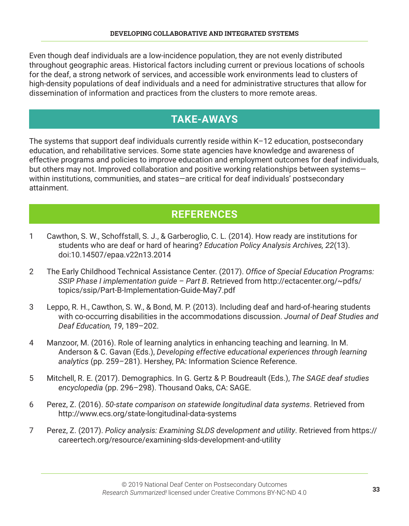Even though deaf individuals are a low-incidence population, they are not evenly distributed throughout geographic areas. Historical factors including current or previous locations of schools for the deaf, a strong network of services, and accessible work environments lead to clusters of high-density populations of deaf individuals and a need for administrative structures that allow for dissemination of information and practices from the clusters to more remote areas.

#### **TAKE-AWAYS**

The systems that support deaf individuals currently reside within K–12 education, postsecondary education, and rehabilitative services. Some state agencies have knowledge and awareness of effective programs and policies to improve education and employment outcomes for deaf individuals, but others may not. Improved collaboration and positive working relationships between systems within institutions, communities, and states—are critical for deaf individuals' postsecondary attainment.

#### **REFERENCES**

- 1 Cawthon, S. W., Schoffstall, S. J., & Garberoglio, C. L. (2014). How ready are institutions for students who are deaf or hard of hearing? *Education Policy Analysis Archives, 22*(13). doi:10.14507/epaa.v22n13.2014
- 2 The Early Childhood Technical Assistance Center. (2017). *Office of Special Education Programs: SSIP Phase I implementation guide – Part B*. Retrieved from http://ectacenter.org/~pdfs/ topics/ssip/Part-B-Implementation-Guide-May7.pdf
- 3 Leppo, R. H., Cawthon, S. W., & Bond, M. P. (2013). Including deaf and hard-of-hearing students with co-occurring disabilities in the accommodations discussion. *Journal of Deaf Studies and Deaf Education, 19*, 189–202.
- 4 Manzoor, M. (2016). Role of learning analytics in enhancing teaching and learning. In M. Anderson & C. Gavan (Eds.), *Developing effective educational experiences through learning analytics* (pp. 259–281). Hershey, PA: Information Science Reference.
- 5 Mitchell, R. E. (2017). Demographics. In G. Gertz & P. Boudreault (Eds.), *The SAGE deaf studies encyclopedia* (pp. 296–298). Thousand Oaks, CA: SAGE.
- 6 Perez, Z. (2016). *50-state comparison on statewide longitudinal data systems*. Retrieved from http://www.ecs.org/state-longitudinal-data-systems
- 7 Perez, Z. (2017). *Policy analysis: Examining SLDS development and utility*. Retrieved from https:// careertech.org/resource/examining-slds-development-and-utility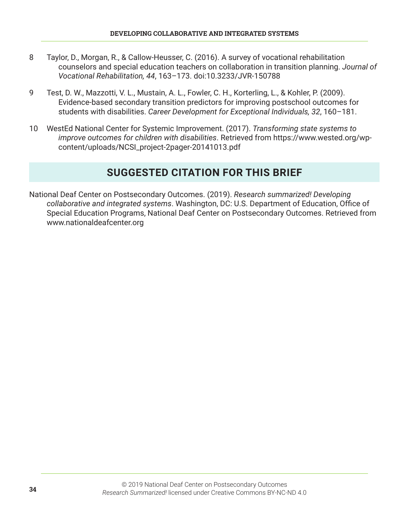- 8 Taylor, D., Morgan, R., & Callow-Heusser, C. (2016). A survey of vocational rehabilitation counselors and special education teachers on collaboration in transition planning. *Journal of Vocational Rehabilitation, 44*, 163–173. doi:10.3233/JVR-150788
- 9 Test, D. W., Mazzotti, V. L., Mustain, A. L., Fowler, C. H., Korterling, L., & Kohler, P. (2009). Evidence-based secondary transition predictors for improving postschool outcomes for students with disabilities. *Career Development for Exceptional Individuals, 32*, 160–181.
- 10 WestEd National Center for Systemic Improvement. (2017). *Transforming state systems to improve outcomes for children with disabilities*. Retrieved from https://www.wested.org/wpcontent/uploads/NCSI\_project-2pager-20141013.pdf

# **SUGGESTED CITATION FOR THIS BRIEF**

National Deaf Center on Postsecondary Outcomes. (2019). *Research summarized! Developing collaborative and integrated systems*. Washington, DC: U.S. Department of Education, Office of Special Education Programs, National Deaf Center on Postsecondary Outcomes. Retrieved from www.nationaldeafcenter.org